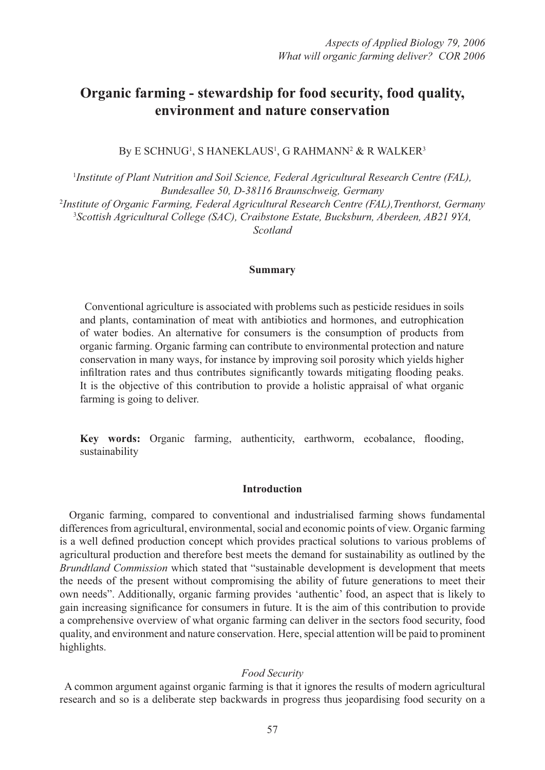# **Organic farming - stewardship for food security, food quality, environment and nature conservation**

By E SCHNUG<sup>1</sup>, S HANEKLAUS<sup>1</sup>, G RAHMANN<sup>2</sup> & R WALKER<sup>3</sup>

1 *Institute of Plant Nutrition and Soil Science, Federal Agricultural Research Centre (FAL), Bundesallee 50, D-38116 Braunschweig, Germany* 2 *Institute of Organic Farming, Federal Agricultural Research Centre (FAL),Trenthorst, Germany* 3 *Scottish Agricultural College (SAC), Craibstone Estate, Bucksburn, Aberdeen, AB21 9YA, Scotland*

#### **Summary**

 Conventional agriculture is associated with problems such as pesticide residues in soils and plants, contamination of meat with antibiotics and hormones, and eutrophication of water bodies. An alternative for consumers is the consumption of products from organic farming. Organic farming can contribute to environmental protection and nature conservation in many ways, for instance by improving soil porosity which yields higher infiltration rates and thus contributes significantly towards mitigating flooding peaks. It is the objective of this contribution to provide a holistic appraisal of what organic farming is going to deliver.

Key words: Organic farming, authenticity, earthworm, ecobalance, flooding, sustainability

# **Introduction**

 Organic farming, compared to conventional and industrialised farming shows fundamental differences from agricultural, environmental, social and economic points of view. Organic farming is a well defined production concept which provides practical solutions to various problems of agricultural production and therefore best meets the demand for sustainability as outlined by the *Brundtland Commission* which stated that "sustainable development is development that meets the needs of the present without compromising the ability of future generations to meet their own needs". Additionally, organic farming provides 'authentic' food, an aspect that is likely to gain increasing significance for consumers in future. It is the aim of this contribution to provide a comprehensive overview of what organic farming can deliver in the sectors food security, food quality, and environment and nature conservation. Here, special attention will be paid to prominent highlights.

#### *Food Security*

 A common argument against organic farming is that it ignores the results of modern agricultural research and so is a deliberate step backwards in progress thus jeopardising food security on a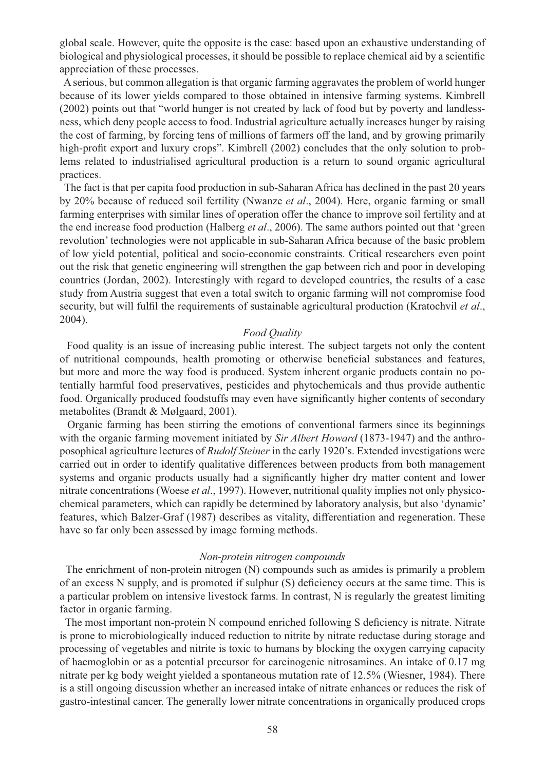global scale. However, quite the opposite is the case: based upon an exhaustive understanding of biological and physiological processes, it should be possible to replace chemical aid by a scientific appreciation of these processes.

 A serious, but common allegation is that organic farming aggravates the problem of world hunger because of its lower yields compared to those obtained in intensive farming systems. Kimbrell (2002) points out that "world hunger is not created by lack of food but by poverty and landlessness, which deny people access to food. Industrial agriculture actually increases hunger by raising the cost of farming, by forcing tens of millions of farmers off the land, and by growing primarily high-profit export and luxury crops". Kimbrell (2002) concludes that the only solution to problems related to industrialised agricultural production is a return to sound organic agricultural practices.

 The fact is that per capita food production in sub-Saharan Africa has declined in the past 20 years by 20% because of reduced soil fertility (Nwanze *et al*., 2004). Here, organic farming or small farming enterprises with similar lines of operation offer the chance to improve soil fertility and at the end increase food production (Halberg *et al*., 2006). The same authors pointed out that 'green revolution' technologies were not applicable in sub-Saharan Africa because of the basic problem of low yield potential, political and socio-economic constraints. Critical researchers even point out the risk that genetic engineering will strengthen the gap between rich and poor in developing countries (Jordan, 2002). Interestingly with regard to developed countries, the results of a case study from Austria suggest that even a total switch to organic farming will not compromise food security, but will fulfil the requirements of sustainable agricultural production (Kratochvil et al., 2004).

## *Food Quality*

 Food quality is an issue of increasing public interest. The subject targets not only the content of nutritional compounds, health promoting or otherwise beneficial substances and features, but more and more the way food is produced. System inherent organic products contain no potentially harmful food preservatives, pesticides and phytochemicals and thus provide authentic food. Organically produced foodstuffs may even have significantly higher contents of secondary metabolites (Brandt & Mølgaard, 2001).

 Organic farming has been stirring the emotions of conventional farmers since its beginnings with the organic farming movement initiated by *Sir Albert Howard* (1873-1947) and the anthroposophical agriculture lectures of *Rudolf Steiner* in the early 1920's. Extended investigations were carried out in order to identify qualitative differences between products from both management systems and organic products usually had a significantly higher dry matter content and lower nitrate concentrations (Woese *et al*., 1997). However, nutritional quality implies not only physicochemical parameters, which can rapidly be determined by laboratory analysis, but also 'dynamic' features, which Balzer-Graf (1987) describes as vitality, differentiation and regeneration. These have so far only been assessed by image forming methods.

#### *Non-protein nitrogen compounds*

 The enrichment of non-protein nitrogen (N) compounds such as amides is primarily a problem of an excess N supply, and is promoted if sulphur (S) deficiency occurs at the same time. This is a particular problem on intensive livestock farms. In contrast, N is regularly the greatest limiting factor in organic farming.

The most important non-protein N compound enriched following S deficiency is nitrate. Nitrate is prone to microbiologically induced reduction to nitrite by nitrate reductase during storage and processing of vegetables and nitrite is toxic to humans by blocking the oxygen carrying capacity of haemoglobin or as a potential precursor for carcinogenic nitrosamines. An intake of 0.17 mg nitrate per kg body weight yielded a spontaneous mutation rate of 12.5% (Wiesner, 1984). There is a still ongoing discussion whether an increased intake of nitrate enhances or reduces the risk of gastro-intestinal cancer. The generally lower nitrate concentrations in organically produced crops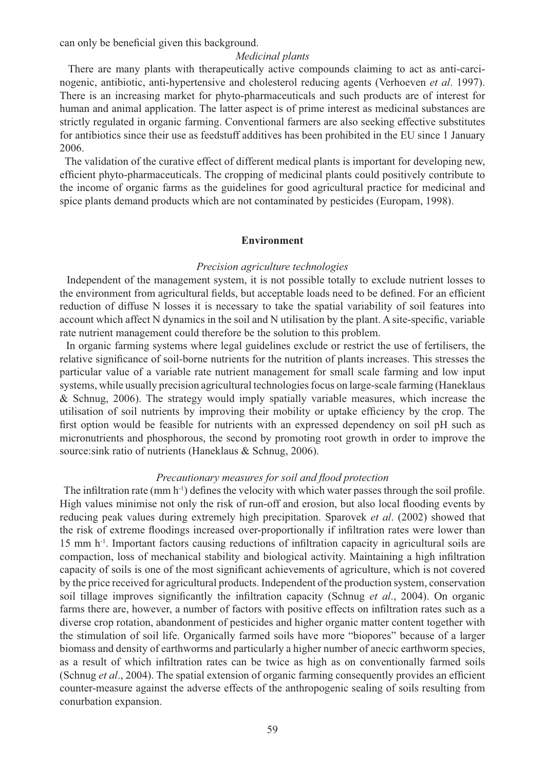can only be beneficial given this background.

#### *Medicinal plants*

 There are many plants with therapeutically active compounds claiming to act as anti-carcinogenic, antibiotic, anti-hypertensive and cholesterol reducing agents (Verhoeven *et al*. 1997). There is an increasing market for phyto-pharmaceuticals and such products are of interest for human and animal application. The latter aspect is of prime interest as medicinal substances are strictly regulated in organic farming. Conventional farmers are also seeking effective substitutes for antibiotics since their use as feedstuff additives has been prohibited in the EU since 1 January 2006.

 The validation of the curative effect of different medical plants is important for developing new, efficient phyto-pharmaceuticals. The cropping of medicinal plants could positively contribute to the income of organic farms as the guidelines for good agricultural practice for medicinal and spice plants demand products which are not contaminated by pesticides (Europam, 1998).

#### **Environment**

#### *Precision agriculture technologies*

 Independent of the management system, it is not possible totally to exclude nutrient losses to the environment from agricultural fields, but acceptable loads need to be defined. For an efficient reduction of diffuse N losses it is necessary to take the spatial variability of soil features into account which affect N dynamics in the soil and N utilisation by the plant. A site-specific, variable rate nutrient management could therefore be the solution to this problem.

 In organic farming systems where legal guidelines exclude or restrict the use of fertilisers, the relative significance of soil-borne nutrients for the nutrition of plants increases. This stresses the particular value of a variable rate nutrient management for small scale farming and low input systems, while usually precision agricultural technologies focus on large-scale farming (Haneklaus & Schnug, 2006). The strategy would imply spatially variable measures, which increase the utilisation of soil nutrients by improving their mobility or uptake efficiency by the crop. The first option would be feasible for nutrients with an expressed dependency on soil pH such as micronutrients and phosphorous, the second by promoting root growth in order to improve the source: sink ratio of nutrients (Haneklaus & Schnug, 2006).

#### *Precautionary measures for soil and flood protection*

The infiltration rate (mm  $h^{-1}$ ) defines the velocity with which water passes through the soil profile. High values minimise not only the risk of run-off and erosion, but also local flooding events by reducing peak values during extremely high precipitation. Sparovek *et al*. (2002) showed that the risk of extreme floodings increased over-proportionally if infiltration rates were lower than  $15$  mm h<sup>-1</sup>. Important factors causing reductions of infiltration capacity in agricultural soils are compaction, loss of mechanical stability and biological activity. Maintaining a high infiltration capacity of soils is one of the most significant achievements of agriculture, which is not covered by the price received for agricultural products. Independent of the production system, conservation soil tillage improves significantly the infiltration capacity (Schnug *et al.*, 2004). On organic farms there are, however, a number of factors with positive effects on infiltration rates such as a diverse crop rotation, abandonment of pesticides and higher organic matter content together with the stimulation of soil life. Organically farmed soils have more "biopores" because of a larger biomass and density of earthworms and particularly a higher number of anecic earthworm species, as a result of which infiltration rates can be twice as high as on conventionally farmed soils (Schnug *et al.*, 2004). The spatial extension of organic farming consequently provides an efficient counter-measure against the adverse effects of the anthropogenic sealing of soils resulting from conurbation expansion.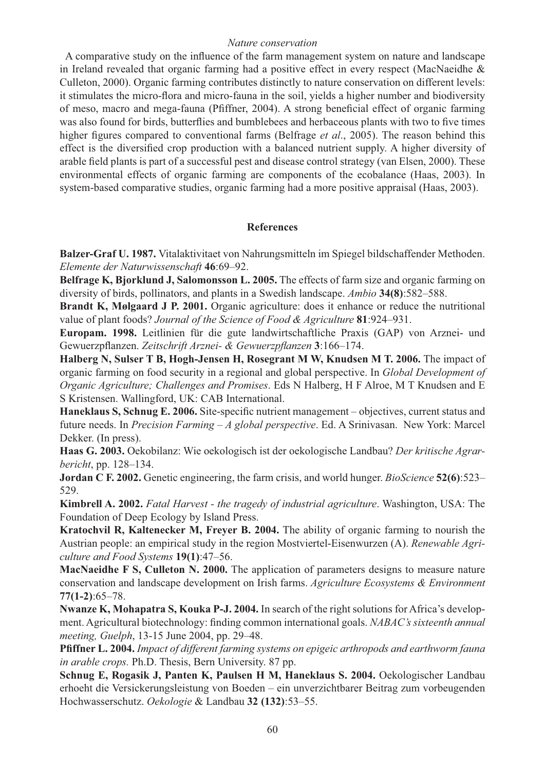## *Nature conservation*

A comparative study on the influence of the farm management system on nature and landscape in Ireland revealed that organic farming had a positive effect in every respect (MacNaeidhe & Culleton, 2000). Organic farming contributes distinctly to nature conservation on different levels: it stimulates the micro-flora and micro-fauna in the soil, yields a higher number and biodiversity of meso, macro and mega-fauna (Pfiffner, 2004). A strong beneficial effect of organic farming was also found for birds, butterflies and bumblebees and herbaceous plants with two to five times higher figures compared to conventional farms (Belfrage *et al.*, 2005). The reason behind this effect is the diversified crop production with a balanced nutrient supply. A higher diversity of arable field plants is part of a successful pest and disease control strategy (van Elsen, 2000). These environmental effects of organic farming are components of the ecobalance (Haas, 2003). In system-based comparative studies, organic farming had a more positive appraisal (Haas, 2003).

# **References**

**Balzer-Graf U. 1987.** Vitalaktivitaet von Nahrungsmitteln im Spiegel bildschaffender Methoden. *Elemente der Naturwissenschaft* **46**:69–92.

**Belfrage K, Bjorklund J, Salomonsson L. 2005.** The effects of farm size and organic farming on diversity of birds, pollinators, and plants in a Swedish landscape. *Ambio* **34(8)**:582–588.

**Brandt K, Mølgaard J P. 2001.** Organic agriculture: does it enhance or reduce the nutritional value of plant foods? *Journal of the Science of Food & Agriculture* **81**:924–931.

**Europam. 1998.** Leitlinien für die gute landwirtschaftliche Praxis (GAP) von Arznei- und Gewuerzpflanzen. Zeitschrift Arznei- & Gewuerzpflanzen 3:166-174.

**Halberg N, Sulser T B, Hogh-Jensen H, Rosegrant M W, Knudsen M T. 2006.** The impact of organic farming on food security in a regional and global perspective. In *Global Development of Organic Agriculture; Challenges and Promises*. Eds N Halberg, H F Alroe, M T Knudsen and E S Kristensen. Wallingford, UK: CAB International.

**Haneklaus S, Schnug E. 2006.** Site-specific nutrient management – objectives, current status and future needs. In *Precision Farming – A global perspective*. Ed. A Srinivasan. New York: Marcel Dekker. (In press).

**Haas G. 2003.** Oekobilanz: Wie oekologisch ist der oekologische Landbau? *Der kritische Agrarbericht*, pp. 128–134.

**Jordan C F. 2002.** Genetic engineering, the farm crisis, and world hunger. *BioScience* **52(6)**:523– 529.

**Kimbrell A. 2002.** *Fatal Harvest - the tragedy of industrial agriculture*. Washington, USA: The Foundation of Deep Ecology by Island Press.

**Kratochvil R, Kaltenecker M, Freyer B. 2004.** The ability of organic farming to nourish the Austrian people: an empirical study in the region Mostviertel-Eisenwurzen (A). *Renewable Agriculture and Food Systems* **19(1)**:47–56.

**MacNaeidhe F S, Culleton N. 2000.** The application of parameters designs to measure nature conservation and landscape development on Irish farms. *Agriculture Ecosystems & Environment* **77(1-2)**:65–78.

**Nwanze K, Mohapatra S, Kouka P-J. 2004.** In search of the right solutions for Africa's development. Agricultural biotechnology: finding common international goals. *NABAC's sixteenth annual meeting, Guelph*, 13-15 June 2004, pp. 29–48.

**Pfi ffner L. 2004.** *Impact of different farming systems on epigeic arthropods and earthworm fauna in arable crops.* Ph.D. Thesis, Bern University. 87 pp.

**Schnug E, Rogasik J, Panten K, Paulsen H M, Haneklaus S. 2004.** Oekologischer Landbau erhoeht die Versickerungsleistung von Boeden – ein unverzichtbarer Beitrag zum vorbeugenden Hochwasserschutz. *Oekologie* & Landbau **32 (132)**:53–55.